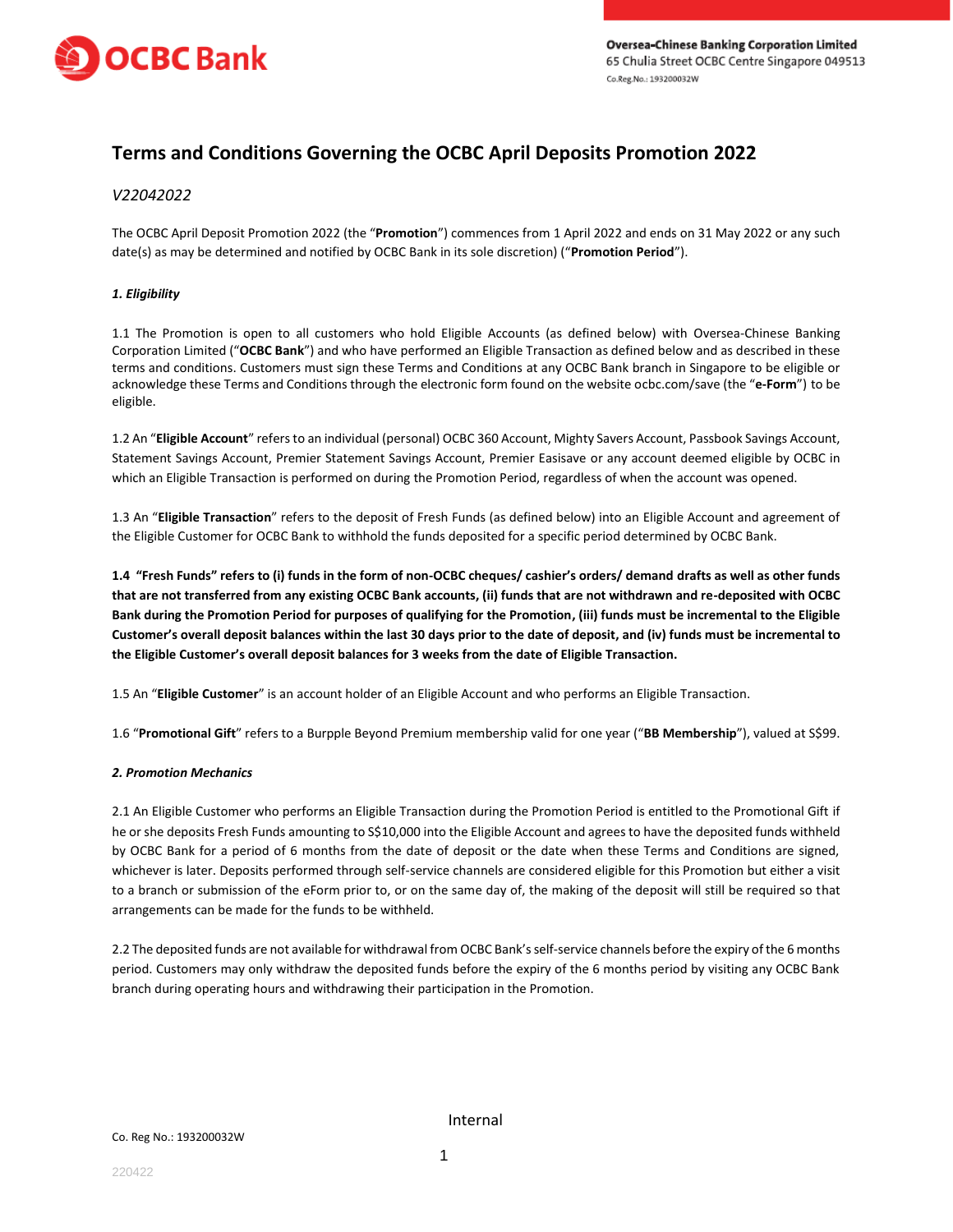

# **Terms and Conditions Governing the OCBC April Deposits Promotion 2022**

# *V22042022*

The OCBC April Deposit Promotion 2022 (the "**Promotion**") commences from 1 April 2022 and ends on 31 May 2022 or any such date(s) as may be determined and notified by OCBC Bank in its sole discretion) ("**Promotion Period**").

## *1. Eligibility*

1.1 The Promotion is open to all customers who hold Eligible Accounts (as defined below) with Oversea-Chinese Banking Corporation Limited ("**OCBC Bank**") and who have performed an Eligible Transaction as defined below and as described in these terms and conditions. Customers must sign these Terms and Conditions at any OCBC Bank branch in Singapore to be eligible or acknowledge these Terms and Conditions through the electronic form found on the website ocbc.com/save (the "**e-Form**") to be eligible.

1.2 An "**Eligible Account**" refers to an individual (personal) OCBC 360 Account, Mighty Savers Account, Passbook Savings Account, Statement Savings Account, Premier Statement Savings Account, Premier Easisave or any account deemed eligible by OCBC in which an Eligible Transaction is performed on during the Promotion Period, regardless of when the account was opened.

1.3 An "**Eligible Transaction**" refers to the deposit of Fresh Funds (as defined below) into an Eligible Account and agreement of the Eligible Customer for OCBC Bank to withhold the funds deposited for a specific period determined by OCBC Bank.

**1.4 "Fresh Funds" refers to (i) funds in the form of non-OCBC cheques/ cashier's orders/ demand drafts as well as other funds that are not transferred from any existing OCBC Bank accounts, (ii) funds that are not withdrawn and re-deposited with OCBC Bank during the Promotion Period for purposes of qualifying for the Promotion, (iii) funds must be incremental to the Eligible Customer's overall deposit balances within the last 30 days prior to the date of deposit, and (iv) funds must be incremental to the Eligible Customer's overall deposit balances for 3 weeks from the date of Eligible Transaction.**

1.5 An "**Eligible Customer**" is an account holder of an Eligible Account and who performs an Eligible Transaction.

1.6 "**Promotional Gift**" refers to a Burpple Beyond Premium membership valid for one year ("**BB Membership**"), valued at S\$99.

#### *2. Promotion Mechanics*

2.1 An Eligible Customer who performs an Eligible Transaction during the Promotion Period is entitled to the Promotional Gift if he or she deposits Fresh Funds amounting to S\$10,000 into the Eligible Account and agrees to have the deposited funds withheld by OCBC Bank for a period of 6 months from the date of deposit or the date when these Terms and Conditions are signed, whichever is later. Deposits performed through self-service channels are considered eligible for this Promotion but either a visit to a branch or submission of the eForm prior to, or on the same day of, the making of the deposit will still be required so that arrangements can be made for the funds to be withheld.

2.2 The deposited funds are not available for withdrawal from OCBC Bank's self-service channels before the expiry of the 6 months period. Customers may only withdraw the deposited funds before the expiry of the 6 months period by visiting any OCBC Bank branch during operating hours and withdrawing their participation in the Promotion.

Internal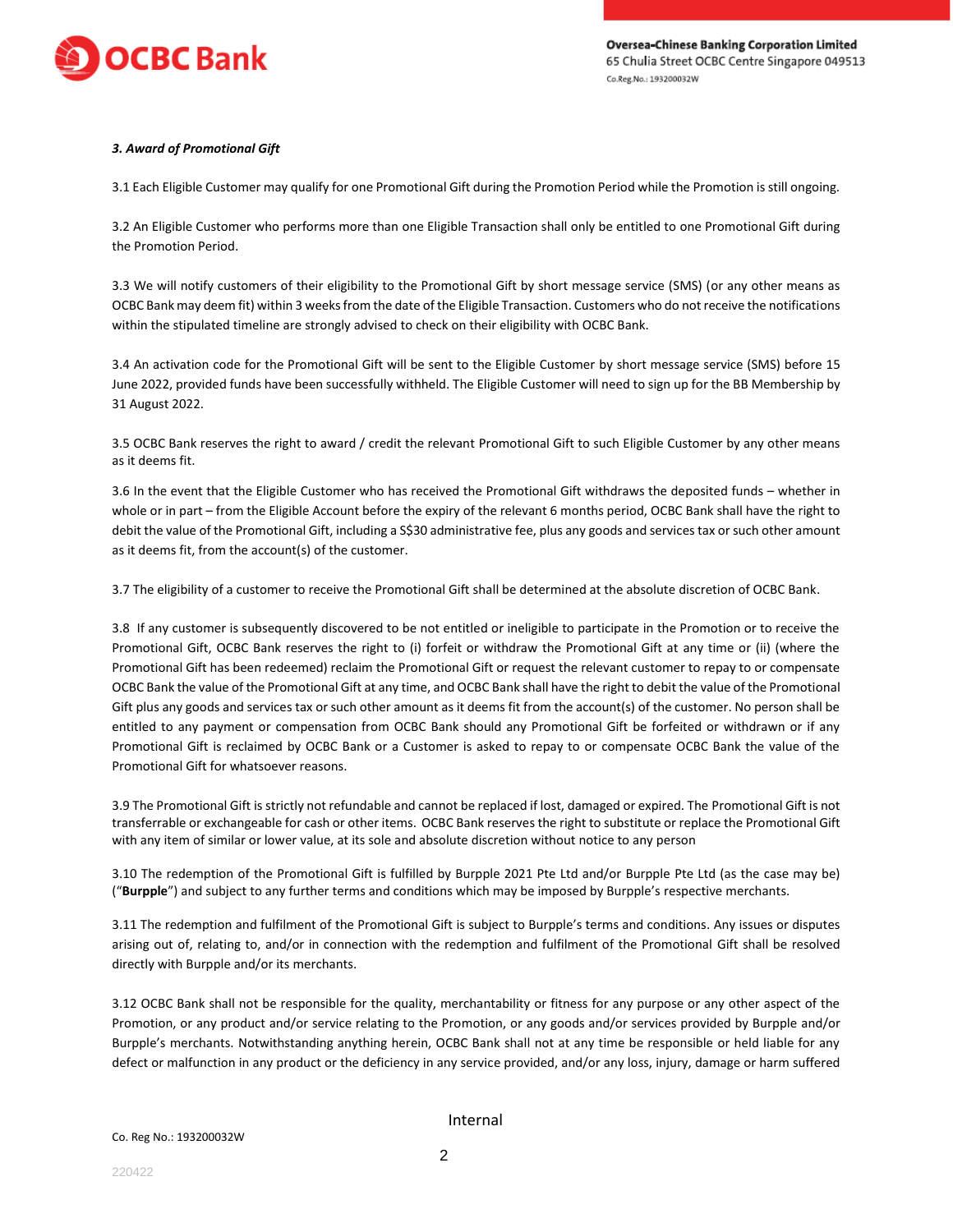

## *3. Award of Promotional Gift*

3.1 Each Eligible Customer may qualify for one Promotional Gift during the Promotion Period while the Promotion is still ongoing.

3.2 An Eligible Customer who performs more than one Eligible Transaction shall only be entitled to one Promotional Gift during the Promotion Period.

3.3 We will notify customers of their eligibility to the Promotional Gift by short message service (SMS) (or any other means as OCBC Bank may deem fit) within 3 weeks from the date of the Eligible Transaction. Customers who do not receive the notifications within the stipulated timeline are strongly advised to check on their eligibility with OCBC Bank.

3.4 An activation code for the Promotional Gift will be sent to the Eligible Customer by short message service (SMS) before 15 June 2022, provided funds have been successfully withheld. The Eligible Customer will need to sign up for the BB Membership by 31 August 2022.

3.5 OCBC Bank reserves the right to award / credit the relevant Promotional Gift to such Eligible Customer by any other means as it deems fit.

3.6 In the event that the Eligible Customer who has received the Promotional Gift withdraws the deposited funds – whether in whole or in part – from the Eligible Account before the expiry of the relevant 6 months period, OCBC Bank shall have the right to debit the value of the Promotional Gift, including a S\$30 administrative fee, plus any goods and services tax or such other amount as it deems fit, from the account(s) of the customer.

3.7 The eligibility of a customer to receive the Promotional Gift shall be determined at the absolute discretion of OCBC Bank.

3.8 If any customer is subsequently discovered to be not entitled or ineligible to participate in the Promotion or to receive the Promotional Gift, OCBC Bank reserves the right to (i) forfeit or withdraw the Promotional Gift at any time or (ii) (where the Promotional Gift has been redeemed) reclaim the Promotional Gift or request the relevant customer to repay to or compensate OCBC Bank the value of the Promotional Gift at any time, and OCBC Bank shall have the right to debit the value of the Promotional Gift plus any goods and services tax or such other amount as it deems fit from the account(s) of the customer. No person shall be entitled to any payment or compensation from OCBC Bank should any Promotional Gift be forfeited or withdrawn or if any Promotional Gift is reclaimed by OCBC Bank or a Customer is asked to repay to or compensate OCBC Bank the value of the Promotional Gift for whatsoever reasons.

3.9 The Promotional Gift is strictly not refundable and cannot be replaced if lost, damaged or expired. The Promotional Gift is not transferrable or exchangeable for cash or other items. OCBC Bank reserves the right to substitute or replace the Promotional Gift with any item of similar or lower value, at its sole and absolute discretion without notice to any person

3.10 The redemption of the Promotional Gift is fulfilled by Burpple 2021 Pte Ltd and/or Burpple Pte Ltd (as the case may be) ("**Burpple**") and subject to any further terms and conditions which may be imposed by Burpple's respective merchants.

3.11 The redemption and fulfilment of the Promotional Gift is subject to Burpple's terms and conditions. Any issues or disputes arising out of, relating to, and/or in connection with the redemption and fulfilment of the Promotional Gift shall be resolved directly with Burpple and/or its merchants.

3.12 OCBC Bank shall not be responsible for the quality, merchantability or fitness for any purpose or any other aspect of the Promotion, or any product and/or service relating to the Promotion, or any goods and/or services provided by Burpple and/or Burpple's merchants. Notwithstanding anything herein, OCBC Bank shall not at any time be responsible or held liable for any defect or malfunction in any product or the deficiency in any service provided, and/or any loss, injury, damage or harm suffered

Internal

220422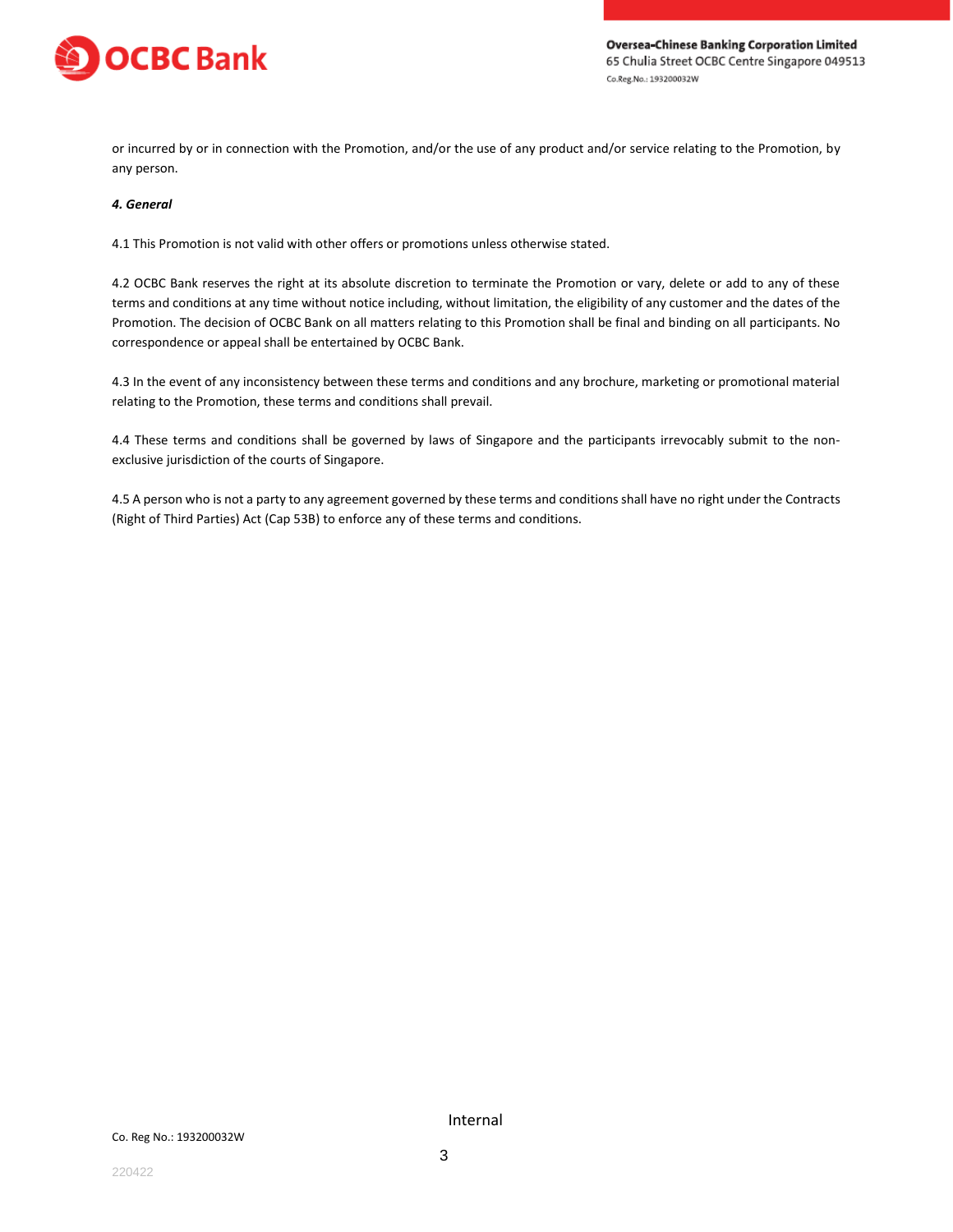

or incurred by or in connection with the Promotion, and/or the use of any product and/or service relating to the Promotion, by any person.

#### *4. General*

4.1 This Promotion is not valid with other offers or promotions unless otherwise stated.

4.2 OCBC Bank reserves the right at its absolute discretion to terminate the Promotion or vary, delete or add to any of these terms and conditions at any time without notice including, without limitation, the eligibility of any customer and the dates of the Promotion. The decision of OCBC Bank on all matters relating to this Promotion shall be final and binding on all participants. No correspondence or appeal shall be entertained by OCBC Bank.

4.3 In the event of any inconsistency between these terms and conditions and any brochure, marketing or promotional material relating to the Promotion, these terms and conditions shall prevail.

4.4 These terms and conditions shall be governed by laws of Singapore and the participants irrevocably submit to the nonexclusive jurisdiction of the courts of Singapore.

4.5 A person who is not a party to any agreement governed by these terms and conditions shall have no right under the Contracts (Right of Third Parties) Act (Cap 53B) to enforce any of these terms and conditions.

Internal